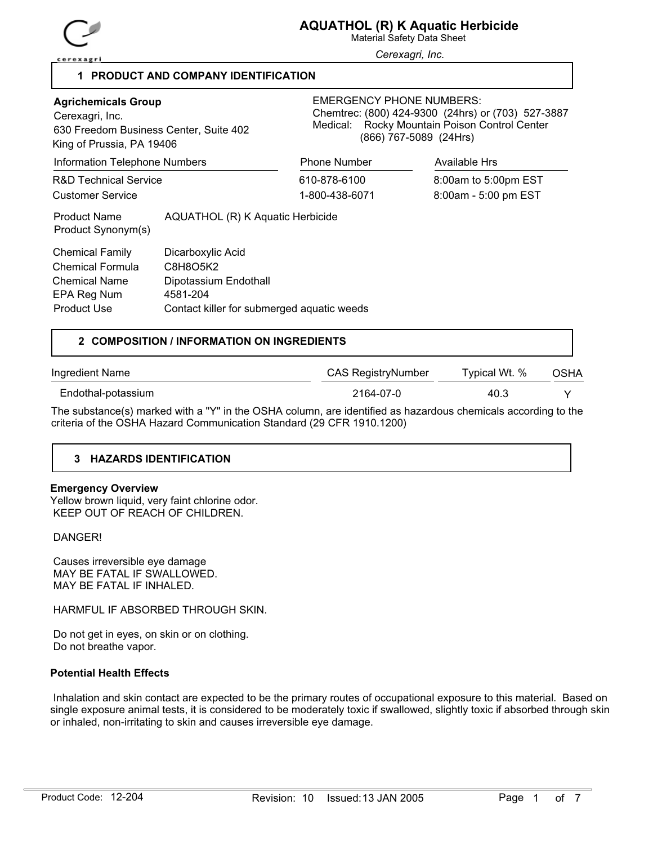

Material Safety Data Sheet

*Cerexagri, Inc.*

## **1 PRODUCT AND COMPANY IDENTIFICATION**

| <b>Agrichemicals Group</b><br>Cerexagri, Inc.<br>630 Freedom Business Center, Suite 402<br>King of Prussia, PA 19406 |                                                                                                                  | <b>EMERGENCY PHONE NUMBERS:</b><br>Chemtrec: (800) 424-9300 (24hrs) or (703) 527-3887<br>Medical: Rocky Mountain Poison Control Center<br>(866) 767-5089 (24Hrs) |                      |  |
|----------------------------------------------------------------------------------------------------------------------|------------------------------------------------------------------------------------------------------------------|------------------------------------------------------------------------------------------------------------------------------------------------------------------|----------------------|--|
| Information Telephone Numbers                                                                                        |                                                                                                                  | <b>Phone Number</b>                                                                                                                                              | Available Hrs        |  |
| <b>R&amp;D Technical Service</b>                                                                                     |                                                                                                                  | 610-878-6100                                                                                                                                                     | 8:00am to 5:00pm EST |  |
| <b>Customer Service</b>                                                                                              |                                                                                                                  | 1-800-438-6071                                                                                                                                                   | 8:00am - 5:00 pm EST |  |
| <b>Product Name</b><br>Product Synonym(s)                                                                            | AQUATHOL (R) K Aquatic Herbicide                                                                                 |                                                                                                                                                                  |                      |  |
| Chemical Family<br>Chemical Formula<br><b>Chemical Name</b><br>EPA Reg Num<br>Product Use                            | Dicarboxylic Acid<br>C8H8O5K2<br>Dipotassium Endothall<br>4581-204<br>Contact killer for submerged aquatic weeds |                                                                                                                                                                  |                      |  |

## **2 COMPOSITION / INFORMATION ON INGREDIENTS**

| Ingredient Name                                                                                                 | CAS RegistryNumber | Typical Wt. % | OSHA |
|-----------------------------------------------------------------------------------------------------------------|--------------------|---------------|------|
| Endothal-potassium                                                                                              | 2164-07-0          | 40.3          |      |
| The qubetaneo(a) marked with a IWI in the OCHA equipment are identified as horordous epermisels assembly to the |                    |               |      |

The substance(s) marked with a "Y" in the OSHA column, are identified as hazardous chemicals according to the criteria of the OSHA Hazard Communication Standard (29 CFR 1910.1200)

## **3 HAZARDS IDENTIFICATION**

## **Emergency Overview**

Yellow brown liquid, very faint chlorine odor. KEEP OUT OF REACH OF CHILDREN.

## DANGER!

 Causes irreversible eye damage MAY BE FATAL IF SWALLOWED. MAY BE FATAL IF INHALED.

HARMFUL IF ABSORBED THROUGH SKIN.

 Do not get in eyes, on skin or on clothing. Do not breathe vapor.

## **Potential Health Effects**

 Inhalation and skin contact are expected to be the primary routes of occupational exposure to this material. Based on single exposure animal tests, it is considered to be moderately toxic if swallowed, slightly toxic if absorbed through skin or inhaled, non-irritating to skin and causes irreversible eye damage.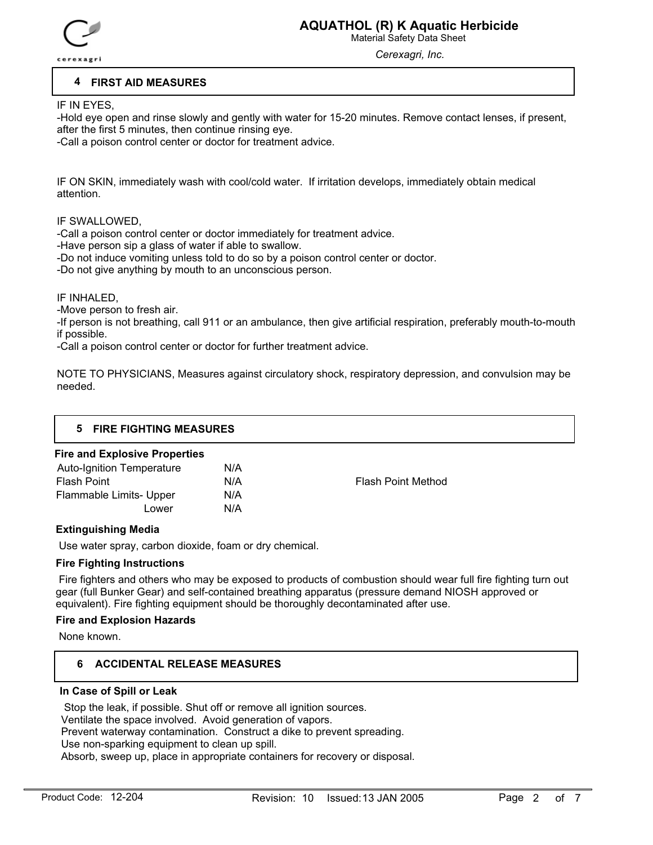

Material Safety Data Sheet

*Cerexagri, Inc.*

## **4 FIRST AID MEASURES**

IF IN EYES,

-Hold eye open and rinse slowly and gently with water for 15-20 minutes. Remove contact lenses, if present, after the first 5 minutes, then continue rinsing eye.

-Call a poison control center or doctor for treatment advice.

IF ON SKIN, immediately wash with cool/cold water. If irritation develops, immediately obtain medical attention.

IF SWALLOWED,

-Call a poison control center or doctor immediately for treatment advice.

-Have person sip a glass of water if able to swallow.

-Do not induce vomiting unless told to do so by a poison control center or doctor.

-Do not give anything by mouth to an unconscious person.

### IF INHALED,

-Move person to fresh air.

-If person is not breathing, call 911 or an ambulance, then give artificial respiration, preferably mouth-to-mouth if possible.

-Call a poison control center or doctor for further treatment advice.

NOTE TO PHYSICIANS, Measures against circulatory shock, respiratory depression, and convulsion may be needed.

| 5 FIRE FIGHTING MEASURES             |  |
|--------------------------------------|--|
| <b>Fire and Explosive Properties</b> |  |

| N/A |                           |
|-----|---------------------------|
| N/A | <b>Flash Point Method</b> |
| N/A |                           |
| N/A |                           |
|     |                           |

## **Extinguishing Media**

Use water spray, carbon dioxide, foam or dry chemical.

## **Fire Fighting Instructions**

 Fire fighters and others who may be exposed to products of combustion should wear full fire fighting turn out gear (full Bunker Gear) and self-contained breathing apparatus (pressure demand NIOSH approved or equivalent). Fire fighting equipment should be thoroughly decontaminated after use.

### **Fire and Explosion Hazards**

None known.

## **6 ACCIDENTAL RELEASE MEASURES**

## **In Case of Spill or Leak**

 Stop the leak, if possible. Shut off or remove all ignition sources. Ventilate the space involved. Avoid generation of vapors. Prevent waterway contamination. Construct a dike to prevent spreading. Use non-sparking equipment to clean up spill. Absorb, sweep up, place in appropriate containers for recovery or disposal.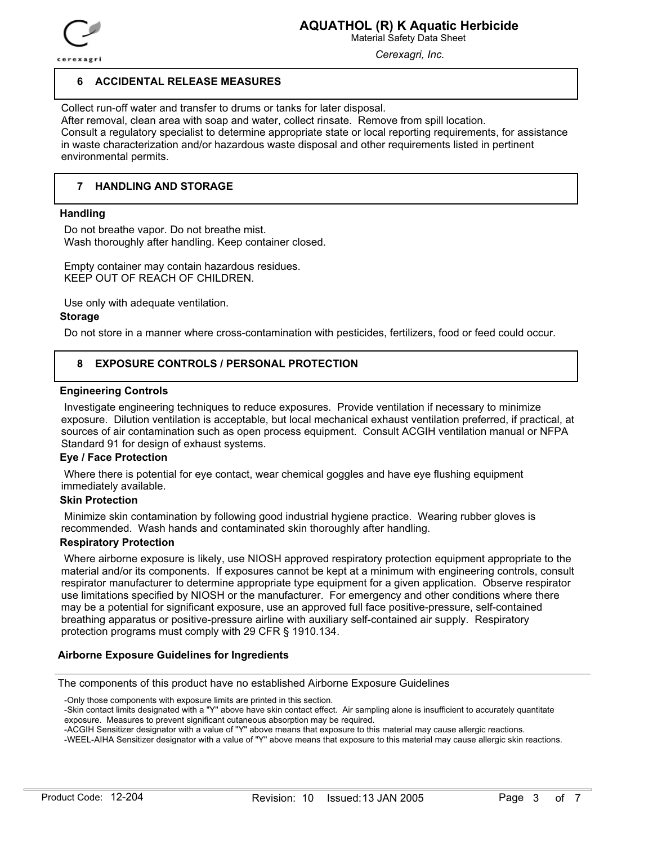

Material Safety Data Sheet

*Cerexagri, Inc.*

## **6 ACCIDENTAL RELEASE MEASURES**

Collect run-off water and transfer to drums or tanks for later disposal. After removal, clean area with soap and water, collect rinsate. Remove from spill location. Consult a regulatory specialist to determine appropriate state or local reporting requirements, for assistance in waste characterization and/or hazardous waste disposal and other requirements listed in pertinent environmental permits.

#### **7 HANDLING AND STORAGE**

### **Handling**

 Do not breathe vapor. Do not breathe mist. Wash thoroughly after handling. Keep container closed.

 Empty container may contain hazardous residues. KEEP OUT OF REACH OF CHILDREN.

Use only with adequate ventilation.

### **Storage**

Do not store in a manner where cross-contamination with pesticides, fertilizers, food or feed could occur.

#### **8 EXPOSURE CONTROLS / PERSONAL PROTECTION**

## **Engineering Controls**

 Investigate engineering techniques to reduce exposures. Provide ventilation if necessary to minimize exposure. Dilution ventilation is acceptable, but local mechanical exhaust ventilation preferred, if practical, at sources of air contamination such as open process equipment. Consult ACGIH ventilation manual or NFPA Standard 91 for design of exhaust systems.

### **Eye / Face Protection**

 Where there is potential for eye contact, wear chemical goggles and have eye flushing equipment immediately available.

## **Skin Protection**

 Minimize skin contamination by following good industrial hygiene practice. Wearing rubber gloves is recommended. Wash hands and contaminated skin thoroughly after handling.

## **Respiratory Protection**

 Where airborne exposure is likely, use NIOSH approved respiratory protection equipment appropriate to the material and/or its components. If exposures cannot be kept at a minimum with engineering controls, consult respirator manufacturer to determine appropriate type equipment for a given application. Observe respirator use limitations specified by NIOSH or the manufacturer. For emergency and other conditions where there may be a potential for significant exposure, use an approved full face positive-pressure, self-contained breathing apparatus or positive-pressure airline with auxiliary self-contained air supply. Respiratory protection programs must comply with 29 CFR § 1910.134.

## **Airborne Exposure Guidelines for Ingredients**

The components of this product have no established Airborne Exposure Guidelines

-Only those components with exposure limits are printed in this section.

<sup>-</sup>Skin contact limits designated with a "Y" above have skin contact effect. Air sampling alone is insufficient to accurately quantitate exposure. Measures to prevent significant cutaneous absorption may be required.

<sup>-</sup>ACGIH Sensitizer designator with a value of "Y" above means that exposure to this material may cause allergic reactions.

<sup>-</sup>WEEL-AIHA Sensitizer designator with a value of "Y" above means that exposure to this material may cause allergic skin reactions.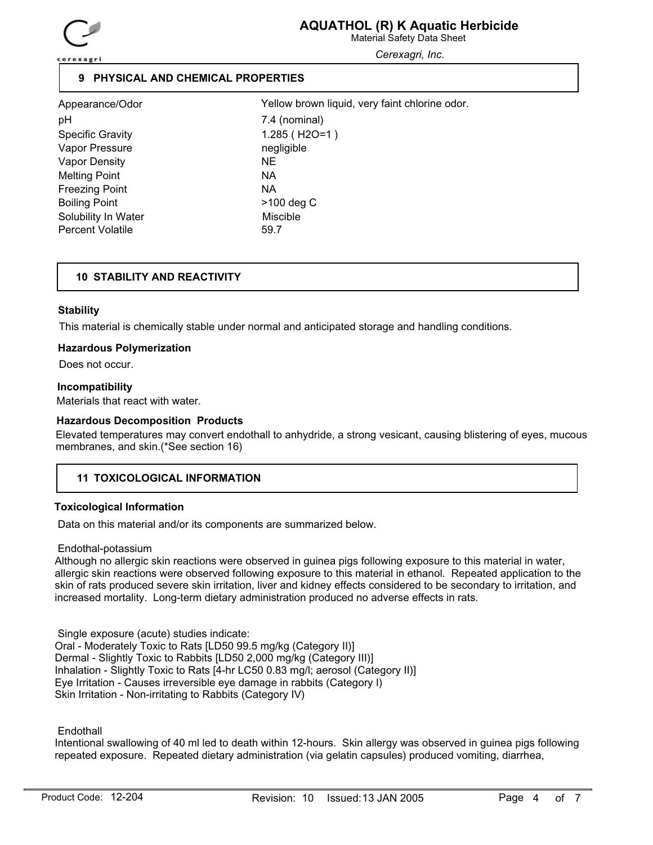

Material Safety Data Sheet

*Cerexagri, Inc.*

## **9 PHYSICAL AND CHEMICAL PROPERTIES**

Appearance/Odor pH 7.4 (nominal) Specific Gravity 1.285 (H2O=1) Vapor Pressure negligible Vapor Density NE Melting Point NA Freezing Point NA Boiling Point **Department Contract Contract Contract Contract Contract Contract Contract Contract Contract Contract Contract Contract Contract Contract Contract Contract Contract Contract Contract Contract Contract Contrac** Solubility In Water **Miscible** Miscible Percent Volatile 69.7

Yellow brown liquid, very faint chlorine odor.

# **10 STABILITY AND REACTIVITY**

## **Stability**

This material is chemically stable under normal and anticipated storage and handling conditions.

### **Hazardous Polymerization**

Does not occur.

## **Incompatibility**

Materials that react with water.

### **Hazardous Decomposition Products**

Elevated temperatures may convert endothall to anhydride, a strong vesicant, causing blistering of eyes, mucous membranes, and skin.(\*See section 16)

## **11 TOXICOLOGICAL INFORMATION**

## **Toxicological Information**

Data on this material and/or its components are summarized below.

Endothal-potassium

Although no allergic skin reactions were observed in guinea pigs following exposure to this material in water, allergic skin reactions were observed following exposure to this material in ethanol. Repeated application to the skin of rats produced severe skin irritation, liver and kidney effects considered to be secondary to irritation, and increased mortality. Long-term dietary administration produced no adverse effects in rats.

 Single exposure (acute) studies indicate: Oral - Moderately Toxic to Rats [LD50 99.5 mg/kg (Category II)] Dermal - Slightly Toxic to Rabbits [LD50 2,000 mg/kg (Category III)] Inhalation - Slightly Toxic to Rats [4-hr LC50 0.83 mg/l; aerosol (Category II)] Eye Irritation - Causes irreversible eye damage in rabbits (Category I) Skin Irritation - Non-irritating to Rabbits (Category IV)

**Endothall** 

Intentional swallowing of 40 ml led to death within 12-hours. Skin allergy was observed in guinea pigs following repeated exposure. Repeated dietary administration (via gelatin capsules) produced vomiting, diarrhea,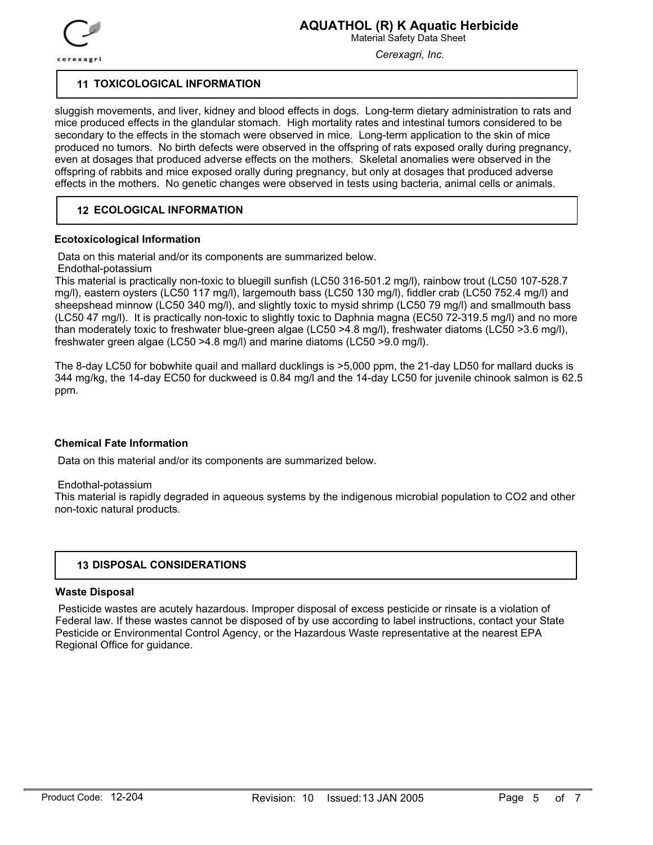

Material Safety Data Sheet

*Cerexagri, Inc.*

## **11 TOXICOLOGICAL INFORMATION**

sluggish movements, and liver, kidney and blood effects in dogs. Long-term dietary administration to rats and mice produced effects in the glandular stomach. High mortality rates and intestinal tumors considered to be secondary to the effects in the stomach were observed in mice. Long-term application to the skin of mice produced no tumors. No birth defects were observed in the offspring of rats exposed orally during pregnancy, even at dosages that produced adverse effects on the mothers. Skeletal anomalies were observed in the offspring of rabbits and mice exposed orally during pregnancy, but only at dosages that produced adverse effects in the mothers. No genetic changes were observed in tests using bacteria, animal cells or animals.

## **12 ECOLOGICAL INFORMATION**

## **Ecotoxicological Information**

Data on this material and/or its components are summarized below.

## Endothal-potassium

This material is practically non-toxic to bluegill sunfish (LC50 316-501.2 mg/l), rainbow trout (LC50 107-528.7 mg/l), eastern oysters (LC50 117 mg/l), largemouth bass (LC50 130 mg/l), fiddler crab (LC50 752.4 mg/l) and sheepshead minnow (LC50 340 mg/l), and slightly toxic to mysid shrimp (LC50 79 mg/l) and smallmouth bass (LC50 47 mg/l). It is practically non-toxic to slightly toxic to Daphnia magna (EC50 72-319.5 mg/l) and no more than moderately toxic to freshwater blue-green algae (LC50 >4.8 mg/l), freshwater diatoms (LC50 >3.6 mg/l), freshwater green algae (LC50 >4.8 mg/l) and marine diatoms (LC50 >9.0 mg/l).

The 8-day LC50 for bobwhite quail and mallard ducklings is >5,000 ppm, the 21-day LD50 for mallard ducks is 344 mg/kg, the 14-day EC50 for duckweed is 0.84 mg/l and the 14-day LC50 for juvenile chinook salmon is 62.5 ppm.

## **Chemical Fate Information**

Data on this material and/or its components are summarized below.

### Endothal-potassium

This material is rapidly degraded in aqueous systems by the indigenous microbial population to CO2 and other non-toxic natural products.

## **13 DISPOSAL CONSIDERATIONS**

## **Waste Disposal**

 Pesticide wastes are acutely hazardous. Improper disposal of excess pesticide or rinsate is a violation of Federal law. If these wastes cannot be disposed of by use according to label instructions, contact your State Pesticide or Environmental Control Agency, or the Hazardous Waste representative at the nearest EPA Regional Office for guidance.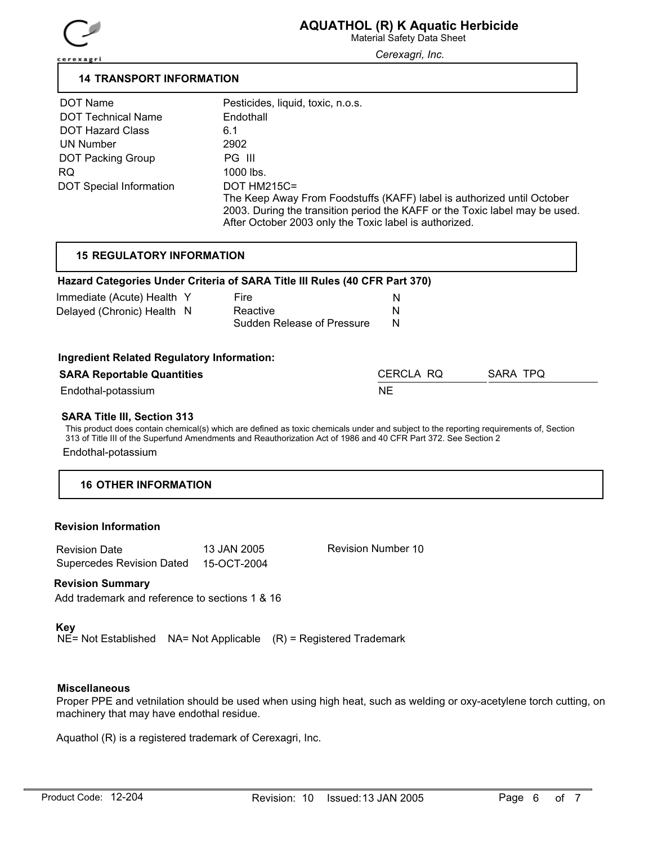

Material Safety Data Sheet

*Cerexagri, Inc.*

## **14 TRANSPORT INFORMATION**

| DOT Name                       | Pesticides, liquid, toxic, n.o.s.                                           |
|--------------------------------|-----------------------------------------------------------------------------|
| <b>DOT Technical Name</b>      | Endothall                                                                   |
| <b>DOT Hazard Class</b>        | 6.1                                                                         |
| UN Number                      | 2902                                                                        |
| <b>DOT Packing Group</b>       | PG III                                                                      |
| RQ.                            | 1000 lbs.                                                                   |
| <b>DOT Special Information</b> | DOT HM215C=                                                                 |
|                                | The Keep Away From Foodstuffs (KAFF) label is authorized until October      |
|                                | 2003. During the transition period the KAFF or the Toxic label may be used. |
|                                | After October 2003 only the Toxic label is authorized.                      |

## **15 REGULATORY INFORMATION**

## **Hazard Categories Under Criteria of SARA Title III Rules (40 CFR Part 370)**

| Immediate (Acute) Health Y |  | Fire                       |   |
|----------------------------|--|----------------------------|---|
| Delayed (Chronic) Health N |  | Reactive                   |   |
|                            |  | Sudden Release of Pressure | N |

### **Ingredient Related Regulatory Information:**

| <b>SARA Reportable Quantities</b> | CERCLA RQ | SARA TPQ |
|-----------------------------------|-----------|----------|
| Endothal-potassium                | NΕ        |          |

## **SARA Title III, Section 313**

This product does contain chemical(s) which are defined as toxic chemicals under and subject to the reporting requirements of, Section 313 of Title III of the Superfund Amendments and Reauthorization Act of 1986 and 40 CFR Part 372. See Section 2 Endothal-potassium

## **16 OTHER INFORMATION**

### **Revision Information**

| <b>Revision Date</b>             | 13 JAN 2005 |
|----------------------------------|-------------|
| <b>Supercedes Revision Dated</b> | 15-OCT-2004 |

Revision Number 10

## **Revision Summary**

Add trademark and reference to sections 1 & 16

### **Key**

NE= Not Established NA= Not Applicable (R) = Registered Trademark

## **Miscellaneous**

Proper PPE and vetnilation should be used when using high heat, such as welding or oxy-acetylene torch cutting, on machinery that may have endothal residue.

Aquathol (R) is a registered trademark of Cerexagri, Inc.